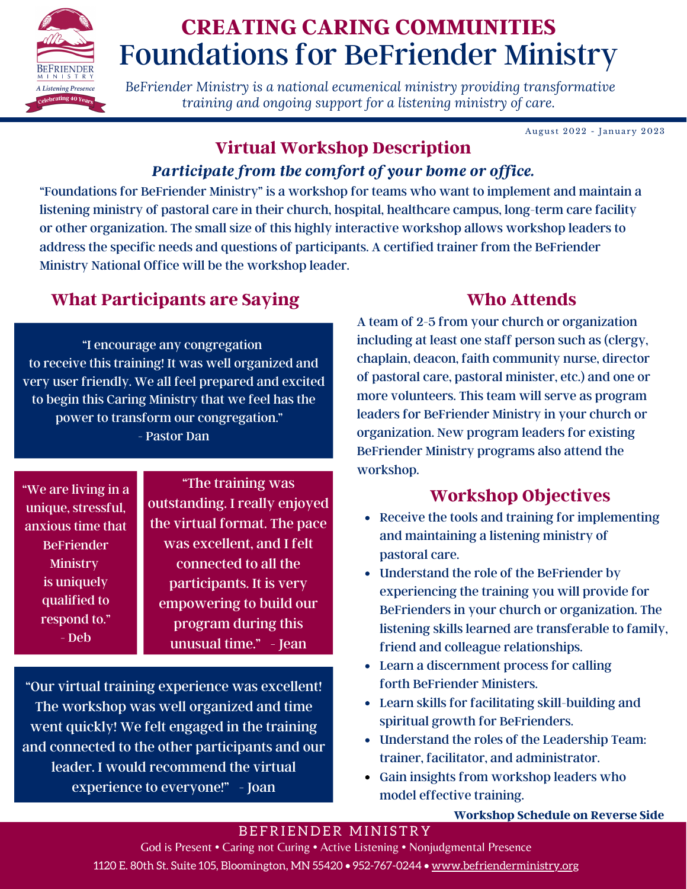

# Foundations for BeFriender Ministry **CREATING CARING COMMUNITIES**

*BeFriender Ministry is a national ecumenical ministry providing transformative training and ongoing support for a listening ministry of care.*

August 2022 - January 2023

## **Virtual Workshop Description**

### *Participate from the comfort of your home or office.*

"Foundations for BeFriender Ministry" is a workshop for teams who want to implement and maintain a listening ministry of pastoral care in their church, hospital, healthcare campus, long-term care facility or other organization. The small size of this highly interactive workshop allows workshop leaders to address the specific needs and questions of participants. A certified trainer from the BeFriender Ministry National Office will be the workshop leader.

## **What Participants are Saying**

"I encourage any congregation to receive this training! It was well organized and very user friendly. We all feel prepared and excited to begin this Caring Ministry that we feel has the power to transform our congregation." - Pastor Dan

"We are living in a unique, stressful, anxious time that BeFriender Ministry is uniquely qualified to respond to." - Deb

"The training was outstanding. I really enjoyed the virtual format. The pace was excellent, and I felt connected to all the participants. It is very empowering to build our program during this unusual time." - Jean

"Our virtual training experience was excellent! The workshop was well organized and time went quickly! We felt engaged in the training and connected to the other participants and our leader. I would recommend the virtual experience to everyone!" - Joan

## **Who Attends**

A team of 2-5 from your church or organization including at least one staff person such as (clergy, chaplain, deacon, faith community nurse, director of pastoral care, pastoral minister, etc.) and one or more volunteers. This team will serve as program leaders for BeFriender Ministry in your church or organization. New program leaders for existing BeFriender Ministry programs also attend the workshop.

# **Workshop Objectives**

- Receive the tools and training for implementing and maintaining a listening ministry of pastoral care.
- Understand the role of the BeFriender by experiencing the training you will provide for BeFrienders in your church or organization. The listening skills learned are transferable to family, friend and colleague relationships.
- Learn a discernment process for calling forth BeFriender Ministers.
- Learn skills for facilitating skill-building and spiritual growth for BeFrienders.
- Understand the roles of the Leadership Team: trainer, facilitator, and administrator.
- Gain insights from workshop leaders who model effective training.

#### **Workshop Schedule on Reverse Side**

#### BEFRIENDER MINISTRY

God is Present • Caring not Curing • Active Listening • Nonjudgmental Presence 1120 E. 80th St. Suite 105, Bloomington, MN 55420 • 952-767-0244 • www.befrienderministry.org